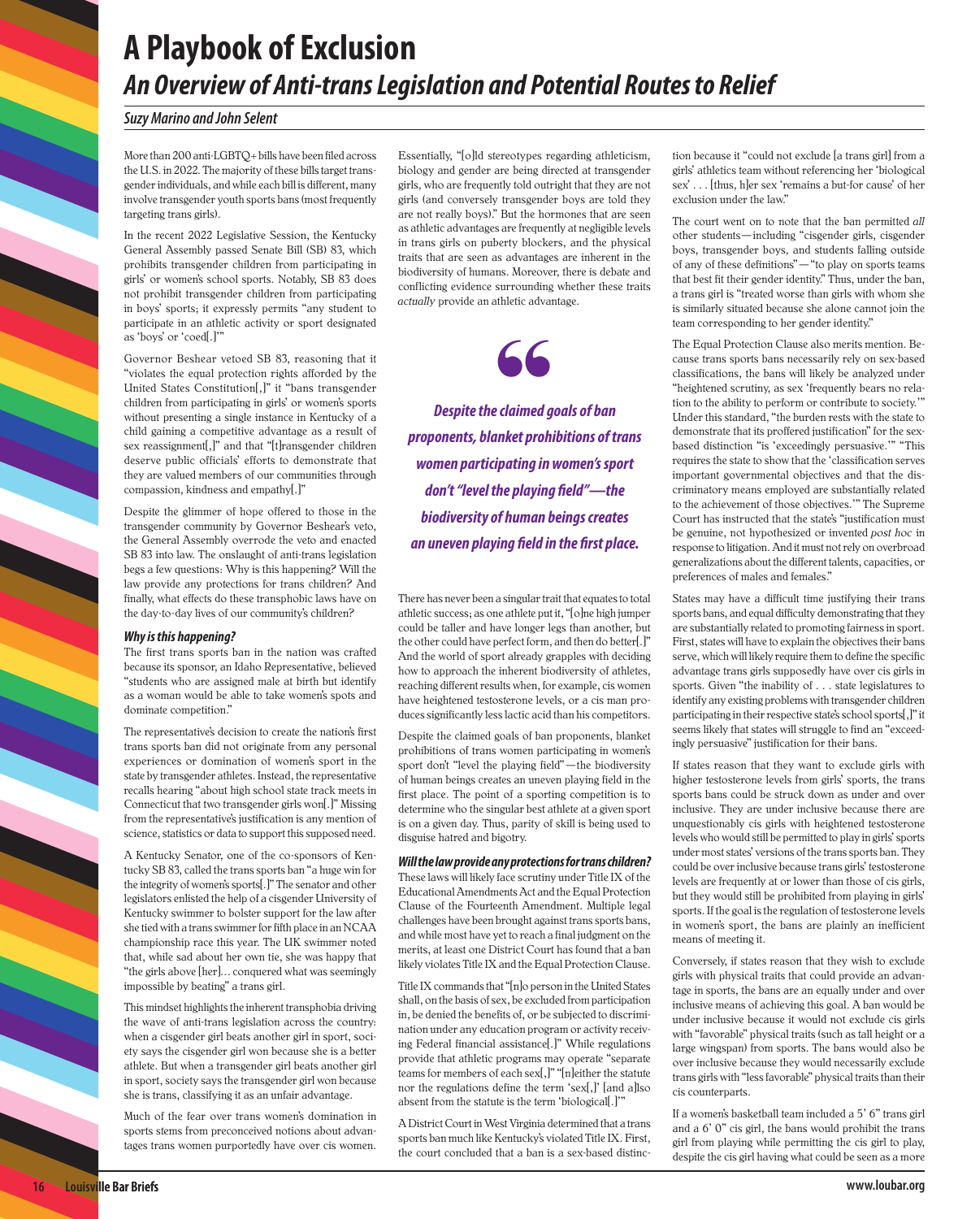## **A Playbook of Exclusion** *An Overview of Anti-trans Legislation and Potential Routes to Relief*

#### *Suzy Marino and John Selent*

More than 200 anti-LGBTQ+ bills have been filed across the U.S. in 2022. The majority of these bills target transgender individuals, and while each bill is different, many involve transgender youth sports bans (most frequently targeting trans girls).

In the recent 2022 Legislative Session, the Kentucky General Assembly passed Senate Bill (SB) 83, which prohibits transgender children from participating in girls' or women's school sports. Notably, SB 83 does not prohibit transgender children from participating in boys' sports; it expressly permits "any student to participate in an athletic activity or sport designated as 'boys' or 'coed[.]'"

Governor Beshear vetoed SB 83, reasoning that it "violates the equal protection rights afforded by the United States Constitution[,]" it "bans transgender children from participating in girls' or women's sports without presenting a single instance in Kentucky of a child gaining a competitive advantage as a result of sex reassignment[,]" and that "[t]ransgender children deserve public officials' efforts to demonstrate that they are valued members of our communities through compassion, kindness and empathy[.]"

Despite the glimmer of hope offered to those in the transgender community by Governor Beshear's veto, the General Assembly overrode the veto and enacted SB 83 into law. The onslaught of anti-trans legislation begs a few questions: Why is this happening? Will the law provide any protections for trans children? And finally, what effects do these transphobic laws have on the day-to-day lives of our community's children?

#### *Why is this happening?*

The first trans sports ban in the nation was crafted because its sponsor, an Idaho Representative, believed "students who are assigned male at birth but identify as a woman would be able to take women's spots and dominate competition."

The representative's decision to create the nation's first trans sports ban did not originate from any personal experiences or domination of women's sport in the state by transgender athletes. Instead, the representative recalls hearing "about high school state track meets in Connecticut that two transgender girls won[.]" Missing from the representative's justification is any mention of science, statistics or data to support this supposed need.

A Kentucky Senator, one of the co-sponsors of Kentucky SB 83, called the trans sports ban "a huge win for the integrity of women's sports[.]" The senator and other legislators enlisted the help of a cisgender University of Kentucky swimmer to bolster support for the law after she tied with a trans swimmer for fifth place in an NCAA championship race this year. The UK swimmer noted that, while sad about her own tie, she was happy that "the girls above [her]… conquered what was seemingly impossible by beating" a trans girl.

This mindset highlights the inherent transphobia driving the wave of anti-trans legislation across the country: when a cisgender girl beats another girl in sport, society says the cisgender girl won because she is a better athlete. But when a transgender girl beats another girl in sport, society says the transgender girl won because she is trans, classifying it as an unfair advantage.

Much of the fear over trans women's domination in sports stems from preconceived notions about advantages trans women purportedly have over cis women.

Essentially, "[o]ld stereotypes regarding athleticism, biology and gender are being directed at transgender girls, who are frequently told outright that they are not girls (and conversely transgender boys are told they are not really boys)." But the hormones that are seen as athletic advantages are frequently at negligible levels in trans girls on puberty blockers, and the physical traits that are seen as advantages are inherent in the biodiversity of humans. Moreover, there is debate and conflicting evidence surrounding whether these traits *actually* provide an athletic advantage.

66

*proponents, blanket prohibitions of trans Despite the claimed goals of ban women participating in women's sport don't "level the playing field"—the biodiversity of human beings creates an uneven playing field in the first place.*

There has never been a singular trait that equates to total athletic success; as one athlete put it, "[o]ne high jumper could be taller and have longer legs than another, but the other could have perfect form, and then do better[.]" And the world of sport already grapples with deciding how to approach the inherent biodiversity of athletes, reaching different results when, for example, cis women have heightened testosterone levels, or a cis man produces significantly less lactic acid than his competitors.

Despite the claimed goals of ban proponents, blanket prohibitions of trans women participating in women's sport don't "level the playing field"—the biodiversity of human beings creates an uneven playing field in the first place. The point of a sporting competition is to determine who the singular best athlete at a given sport is on a given day. Thus, parity of skill is being used to disguise hatred and bigotry.

*Will the law provide any protections for trans children?* These laws will likely face scrutiny under Title IX of the Educational Amendments Act and the Equal Protection Clause of the Fourteenth Amendment. Multiple legal challenges have been brought against trans sports bans, and while most have yet to reach a final judgment on the merits, at least one District Court has found that a ban likely violates Title IX and the Equal Protection Clause.

Title IX commands that "[n]o person in the United States shall, on the basis of sex, be excluded from participation in, be denied the benefits of, or be subjected to discrimination under any education program or activity receiving Federal financial assistance[.]" While regulations provide that athletic programs may operate "separate teams for members of each sex[,]" "[n]either the statute nor the regulations define the term 'sex[,]' [and a]lso absent from the statute is the term 'biological[.]'"

A District Court in West Virginia determined that a trans sports ban much like Kentucky's violated Title IX. First, the court concluded that a ban is a sex-based distinction because it "could not exclude [a trans girl] from a girls' athletics team without referencing her 'biological sex' . . . [thus, h]er sex 'remains a but-for cause' of her exclusion under the law."

The court went on to note that the ban permitted *all* other students—including "cisgender girls, cisgender boys, transgender boys, and students falling outside of any of these definitions"—"to play on sports teams that best fit their gender identity." Thus, under the ban, a trans girl is "treated worse than girls with whom she is similarly situated because she alone cannot join the team corresponding to her gender identity."

The Equal Protection Clause also merits mention. Because trans sports bans necessarily rely on sex-based classifications, the bans will likely be analyzed under "heightened scrutiny, as sex 'frequently bears no relation to the ability to perform or contribute to society.'" Under this standard, "the burden rests with the state to demonstrate that its proffered justification" for the sexbased distinction "is 'exceedingly persuasive.'" "This requires the state to show that the 'classification serves important governmental objectives and that the discriminatory means employed are substantially related to the achievement of those objectives.'" The Supreme Court has instructed that the state's "justification must be genuine, not hypothesized or invented *post hoc* in response to litigation. And it must not rely on overbroad generalizations about the different talents, capacities, or preferences of males and females."

States may have a difficult time justifying their trans sports bans, and equal difficulty demonstrating that they are substantially related to promoting fairness in sport. First, states will have to explain the objectives their bans serve, which will likely require them to define the specific advantage trans girls supposedly have over cis girls in sports. Given "the inability of . . . state legislatures to identify any existing problems with transgender children participating in their respective state's school sports[,]" it seems likely that states will struggle to find an "exceedingly persuasive" justification for their bans.

If states reason that they want to exclude girls with higher testosterone levels from girls' sports, the trans sports bans could be struck down as under and over inclusive. They are under inclusive because there are unquestionably cis girls with heightened testosterone levels who would still be permitted to play in girls' sports under most states' versions of the trans sports ban. They could be over inclusive because trans girls' testosterone levels are frequently at or lower than those of cis girls, but they would still be prohibited from playing in girls' sports. If the goal is the regulation of testosterone levels in women's sport, the bans are plainly an inefficient means of meeting it.

Conversely, if states reason that they wish to exclude girls with physical traits that could provide an advantage in sports, the bans are an equally under and over inclusive means of achieving this goal. A ban would be under inclusive because it would not exclude cis girls with "favorable" physical traits (such as tall height or a large wingspan) from sports. The bans would also be over inclusive because they would necessarily exclude trans girls with "less favorable" physical traits than their cis counterparts.

If a women's basketball team included a 5' 6" trans girl and a 6' 0" cis girl, the bans would prohibit the trans girl from playing while permitting the cis girl to play, despite the cis girl having what could be seen as a more